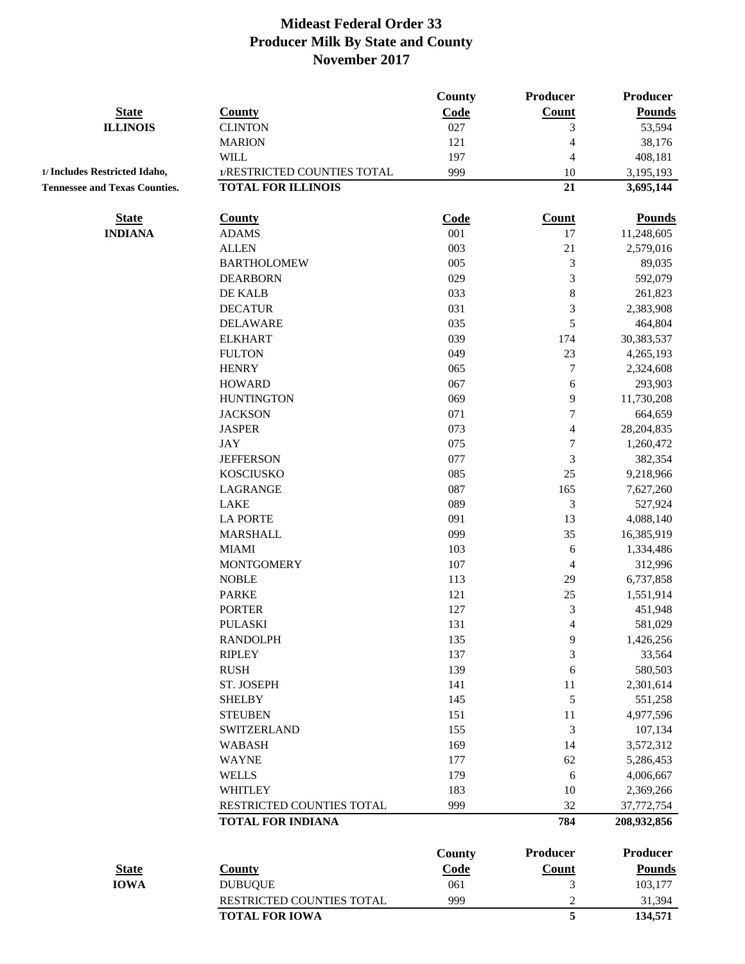|                                      |                             | <b>County</b>         | Producer                        | Producer                  |
|--------------------------------------|-----------------------------|-----------------------|---------------------------------|---------------------------|
| <b>State</b>                         | <b>County</b>               | Code                  | Count                           | <b>Pounds</b>             |
| <b>ILLINOIS</b>                      | <b>CLINTON</b>              | 027                   | 3                               | 53,594                    |
|                                      | <b>MARION</b>               | 121                   | $\overline{4}$                  | 38,176                    |
|                                      | <b>WILL</b>                 | 197                   | 4                               | 408,181                   |
| 1/ Includes Restricted Idaho,        | 1/RESTRICTED COUNTIES TOTAL | 999                   | 10                              | 3,195,193                 |
| <b>Tennessee and Texas Counties.</b> | <b>TOTAL FOR ILLINOIS</b>   |                       | 21                              | 3,695,144                 |
|                                      |                             |                       |                                 |                           |
| <b>State</b>                         | <b>County</b>               | Code                  | Count                           | <b>Pounds</b>             |
| <b>INDIANA</b>                       | <b>ADAMS</b>                | 001                   | 17                              | 11,248,605                |
|                                      | <b>ALLEN</b>                | 003                   | 21                              | 2,579,016                 |
|                                      | <b>BARTHOLOMEW</b>          | 005                   | 3                               | 89,035                    |
|                                      | <b>DEARBORN</b>             | 029                   | 3                               | 592,079                   |
|                                      | DE KALB                     | 033                   | $\,8\,$                         | 261,823                   |
|                                      | <b>DECATUR</b>              | 031                   | $\mathfrak{Z}$                  | 2,383,908                 |
|                                      | <b>DELAWARE</b>             | 035                   | 5                               | 464,804                   |
|                                      | <b>ELKHART</b>              | 039                   | 174                             | 30,383,537                |
|                                      | <b>FULTON</b>               | 049                   | 23                              | 4,265,193                 |
|                                      | <b>HENRY</b>                | 065                   | $\tau$                          | 2,324,608                 |
|                                      | <b>HOWARD</b>               | 067                   | 6                               | 293,903                   |
|                                      | <b>HUNTINGTON</b>           | 069                   | 9                               | 11,730,208                |
|                                      | <b>JACKSON</b>              | 071                   | $\boldsymbol{7}$                | 664,659                   |
|                                      | <b>JASPER</b>               | 073                   | 4                               | 28,204,835                |
|                                      | <b>JAY</b>                  | 075                   | $\tau$                          | 1,260,472                 |
|                                      | <b>JEFFERSON</b>            | 077                   | $\mathfrak{Z}$                  | 382,354                   |
|                                      | <b>KOSCIUSKO</b>            | 085                   | 25                              | 9,218,966                 |
|                                      | LAGRANGE                    | 087                   | 165                             | 7,627,260                 |
|                                      | <b>LAKE</b>                 | 089                   | 3                               | 527,924                   |
|                                      | <b>LA PORTE</b>             | 091                   | 13                              | 4,088,140                 |
|                                      | <b>MARSHALL</b>             | 099                   | 35                              | 16,385,919                |
|                                      | <b>MIAMI</b>                | 103                   | 6                               | 1,334,486                 |
|                                      | <b>MONTGOMERY</b>           | 107                   | 4                               | 312,996                   |
|                                      | <b>NOBLE</b>                | 113                   | 29                              | 6,737,858                 |
|                                      | <b>PARKE</b>                | 121                   | 25                              | 1,551,914                 |
|                                      | <b>PORTER</b>               | 127                   | 3                               | 451,948                   |
|                                      | <b>PULASKI</b>              | 131                   | 4                               | 581,029                   |
|                                      | <b>RANDOLPH</b>             | 135                   | 9                               | 1,426,256                 |
|                                      | <b>RIPLEY</b>               | 137                   | 3                               | 33,564                    |
|                                      | <b>RUSH</b>                 | 139                   | 6                               | 580,503                   |
|                                      | ST. JOSEPH                  | 141                   | 11                              | 2,301,614                 |
|                                      | <b>SHELBY</b>               | 145                   | $\sqrt{5}$                      | 551,258                   |
|                                      | <b>STEUBEN</b>              | 151                   | 11                              | 4,977,596                 |
|                                      | <b>SWITZERLAND</b>          | 155                   | 3                               | 107,134                   |
|                                      | <b>WABASH</b>               | 169                   | 14                              | 3,572,312                 |
|                                      | <b>WAYNE</b>                | 177                   | 62                              | 5,286,453                 |
|                                      | <b>WELLS</b>                | 179                   | 6                               | 4,006,667                 |
|                                      | <b>WHITLEY</b>              | 183                   | 10                              | 2,369,266                 |
|                                      | RESTRICTED COUNTIES TOTAL   | 999                   | 32                              | 37,772,754                |
|                                      | <b>TOTAL FOR INDIANA</b>    |                       | 784                             | 208,932,856               |
|                                      |                             |                       |                                 |                           |
| <b>State</b>                         | <b>County</b>               | <b>County</b><br>Code | <b>Producer</b><br><b>Count</b> | Producer<br><b>Pounds</b> |
| <b>IOWA</b>                          | <b>DUBUQUE</b>              | 061                   | 3                               | 103,177                   |
|                                      |                             |                       |                                 |                           |
|                                      | RESTRICTED COUNTIES TOTAL   | 999                   | $\boldsymbol{2}$<br>5           | 31,394                    |
|                                      | <b>TOTAL FOR IOWA</b>       |                       |                                 | 134,571                   |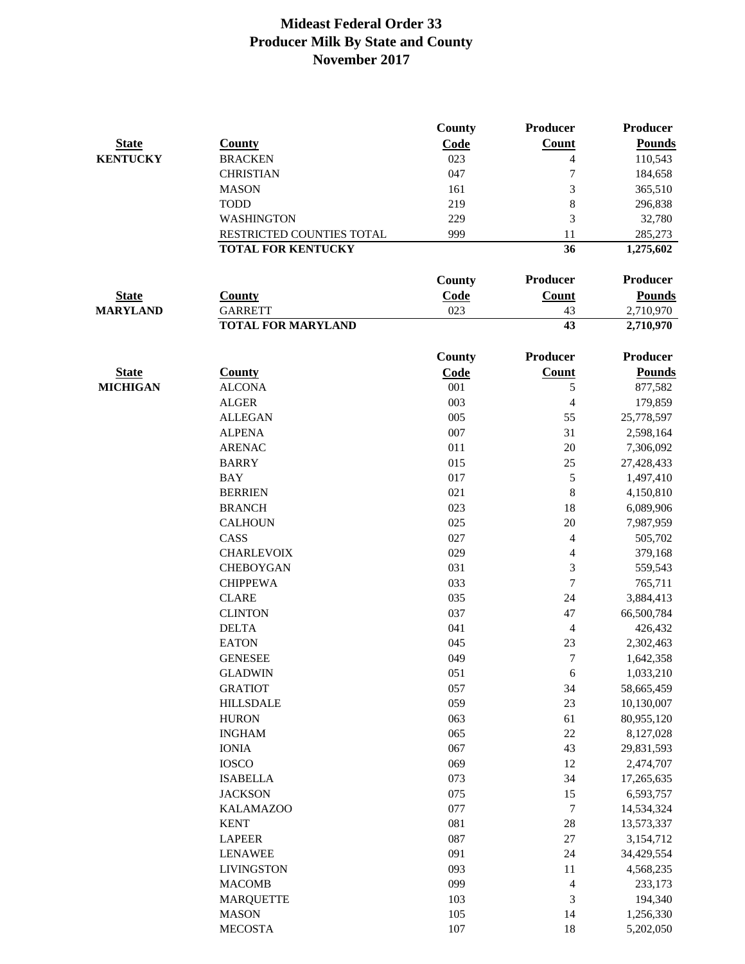|                 |                           | County        | Producer       | <b>Producer</b> |
|-----------------|---------------------------|---------------|----------------|-----------------|
| <b>State</b>    | <b>County</b>             | Code          | <b>Count</b>   | <b>Pounds</b>   |
| <b>KENTUCKY</b> | <b>BRACKEN</b>            | 023           | 4              | 110,543         |
|                 | <b>CHRISTIAN</b>          | 047           | 7              | 184,658         |
|                 | <b>MASON</b>              | 161           | 3              | 365,510         |
|                 | <b>TODD</b>               | 219           | 8              | 296,838         |
|                 | <b>WASHINGTON</b>         | 229           | 3              | 32,780          |
|                 | RESTRICTED COUNTIES TOTAL | 999           | 11             | 285,273         |
|                 | <b>TOTAL FOR KENTUCKY</b> |               | 36             | 1,275,602       |
|                 |                           | County        | Producer       | <b>Producer</b> |
| <b>State</b>    | <b>County</b>             | Code          | <b>Count</b>   | <b>Pounds</b>   |
| <b>MARYLAND</b> | <b>GARRETT</b>            | 023           | 43             | 2,710,970       |
|                 | <b>TOTAL FOR MARYLAND</b> |               | 43             | 2,710,970       |
|                 |                           | <b>County</b> | Producer       | <b>Producer</b> |
| <b>State</b>    | <b>County</b>             | Code          | Count          | <b>Pounds</b>   |
| <b>MICHIGAN</b> | <b>ALCONA</b>             | 001           | 5              | 877,582         |
|                 | <b>ALGER</b>              | 003           | $\overline{4}$ | 179,859         |
|                 | <b>ALLEGAN</b>            | 005           | 55             | 25,778,597      |
|                 | <b>ALPENA</b>             | 007           | 31             | 2,598,164       |
|                 | <b>ARENAC</b>             | 011           | 20             | 7,306,092       |
|                 | <b>BARRY</b>              | 015           | 25             | 27,428,433      |
|                 | <b>BAY</b>                | 017           | 5              | 1,497,410       |
|                 | <b>BERRIEN</b>            | 021           | 8              | 4,150,810       |
|                 | <b>BRANCH</b>             | 023           | 18             | 6,089,906       |
|                 | <b>CALHOUN</b>            | 025           | 20             | 7,987,959       |
|                 | CASS                      | 027           | $\overline{4}$ | 505,702         |
|                 | <b>CHARLEVOIX</b>         | 029           | $\overline{4}$ | 379,168         |
|                 | <b>CHEBOYGAN</b>          | 031           | 3              | 559,543         |
|                 | <b>CHIPPEWA</b>           | 033           | $\tau$         | 765,711         |
|                 | <b>CLARE</b>              | 035           | 24             | 3,884,413       |
|                 | <b>CLINTON</b>            | 037           | 47             | 66,500,784      |
|                 | <b>DELTA</b>              | 041           | $\overline{4}$ | 426,432         |
|                 | <b>EATON</b>              | 045           | 23             | 2,302,463       |
|                 | <b>GENESEE</b>            | 049           | $\tau$         | 1,642,358       |
|                 | <b>GLADWIN</b>            | 051           | $\sqrt{6}$     | 1,033,210       |
|                 | <b>GRATIOT</b>            | 057           | 34             | 58,665,459      |
|                 | <b>HILLSDALE</b>          | 059           | 23             | 10,130,007      |
|                 | <b>HURON</b>              | 063           | 61             | 80,955,120      |
|                 | <b>INGHAM</b>             | 065           | $22\,$         | 8,127,028       |
|                 | <b>IONIA</b>              | 067           | 43             | 29,831,593      |
|                 | <b>IOSCO</b>              | 069           | 12             | 2,474,707       |
|                 | <b>ISABELLA</b>           | 073           | 34             | 17,265,635      |
|                 | <b>JACKSON</b>            | 075           | 15             | 6,593,757       |
|                 | <b>KALAMAZOO</b>          | 077           | $\tau$         | 14,534,324      |
|                 | <b>KENT</b>               | 081           | 28             | 13,573,337      |
|                 | <b>LAPEER</b>             | 087           | $27\,$         | 3,154,712       |
|                 | <b>LENAWEE</b>            | 091           | 24             | 34,429,554      |
|                 | <b>LIVINGSTON</b>         | 093           | 11             | 4,568,235       |
|                 | <b>MACOMB</b>             | 099           | $\overline{4}$ | 233,173         |
|                 | <b>MARQUETTE</b>          | 103           | $\mathfrak{Z}$ | 194,340         |
|                 | <b>MASON</b>              | 105           | 14             | 1,256,330       |
|                 | <b>MECOSTA</b>            | 107           | 18             | 5,202,050       |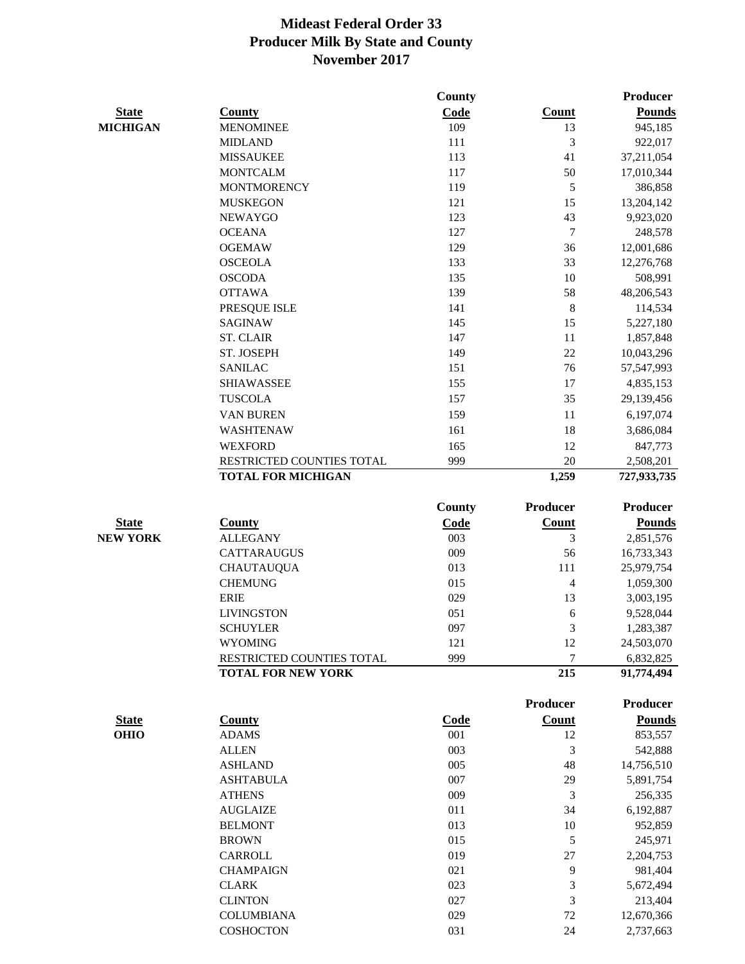|                 |                           | County |                 | Producer                |
|-----------------|---------------------------|--------|-----------------|-------------------------|
| <b>State</b>    | <b>County</b>             | Code   | <b>Count</b>    | <b>Pounds</b>           |
| <b>MICHIGAN</b> | <b>MENOMINEE</b>          | 109    | 13              | 945,185                 |
|                 | <b>MIDLAND</b>            | 111    | 3               | 922,017                 |
|                 | <b>MISSAUKEE</b>          | 113    | 41              | 37,211,054              |
|                 | <b>MONTCALM</b>           | 117    | 50              | 17,010,344              |
|                 | <b>MONTMORENCY</b>        | 119    | $\sqrt{5}$      | 386,858                 |
|                 | <b>MUSKEGON</b>           | 121    | 15              | 13,204,142              |
|                 | <b>NEWAYGO</b>            | 123    | 43              | 9,923,020               |
|                 | <b>OCEANA</b>             | 127    | $\overline{7}$  | 248,578                 |
|                 | <b>OGEMAW</b>             | 129    | 36              | 12,001,686              |
|                 | <b>OSCEOLA</b>            | 133    | 33              | 12,276,768              |
|                 | <b>OSCODA</b>             | 135    | 10              | 508,991                 |
|                 | <b>OTTAWA</b>             | 139    | 58              | 48,206,543              |
|                 | PRESQUE ISLE              | 141    | $\,8\,$         | 114,534                 |
|                 | <b>SAGINAW</b>            | 145    | 15              | 5,227,180               |
|                 | <b>ST. CLAIR</b>          | 147    | $11\,$          | 1,857,848               |
|                 | ST. JOSEPH                | 149    | 22              | 10,043,296              |
|                 | <b>SANILAC</b>            | 151    | 76              | 57,547,993              |
|                 | <b>SHIAWASSEE</b>         | 155    | 17              | 4,835,153               |
|                 | <b>TUSCOLA</b>            | 157    | 35              | 29,139,456              |
|                 | VAN BUREN                 | 159    | $11\,$          | 6,197,074               |
|                 | <b>WASHTENAW</b>          | 161    | 18              | 3,686,084               |
|                 | <b>WEXFORD</b>            | 165    | 12              | 847,773                 |
|                 | RESTRICTED COUNTIES TOTAL | 999    | 20              | 2,508,201               |
|                 | <b>TOTAL FOR MICHIGAN</b> |        | 1,259           | 727,933,735             |
|                 |                           | County | Producer        | <b>Producer</b>         |
| <b>State</b>    | <b>County</b>             | Code   | Count           | <b>Pounds</b>           |
| <b>NEW YORK</b> | <b>ALLEGANY</b>           | 003    | 3               | 2,851,576               |
|                 | <b>CATTARAUGUS</b>        | 009    | 56              | 16,733,343              |
|                 | <b>CHAUTAUQUA</b>         | 013    | 111             | 25,979,754              |
|                 | <b>CHEMUNG</b>            | 015    | $\overline{4}$  | 1,059,300               |
|                 | <b>ERIE</b>               | 029    | 13              | 3,003,195               |
|                 | <b>LIVINGSTON</b>         | 051    | 6               | 9,528,044               |
|                 | <b>SCHUYLER</b>           | 097    | 3               |                         |
|                 | <b>WYOMING</b>            | 121    | 12              | 1,283,387<br>24,503,070 |
|                 | RESTRICTED COUNTIES TOTAL | 999    | 7               | 6,832,825               |
|                 | <b>TOTAL FOR NEW YORK</b> |        | 215             | 91,774,494              |
|                 |                           |        |                 |                         |
|                 |                           |        | <b>Producer</b> | Producer                |
| <b>State</b>    | <b>County</b>             | Code   | Count           | <b>Pounds</b>           |
| <b>OHIO</b>     | <b>ADAMS</b>              | 001    | 12              | 853,557                 |
|                 | <b>ALLEN</b>              | 003    | 3               | 542,888                 |
|                 | <b>ASHLAND</b>            | 005    | 48              | 14,756,510              |
|                 | <b>ASHTABULA</b>          | 007    | 29              | 5,891,754               |
|                 | <b>ATHENS</b>             | 009    | 3               | 256,335                 |
|                 | <b>AUGLAIZE</b>           | 011    | 34              | 6,192,887               |
|                 | <b>BELMONT</b>            | 013    | 10              | 952,859                 |
|                 | <b>BROWN</b>              | 015    | 5               | 245,971                 |
|                 | CARROLL                   | 019    | $27\,$          | 2,204,753               |
|                 | <b>CHAMPAIGN</b>          | 021    | 9               | 981,404                 |
|                 | <b>CLARK</b>              | 023    | 3               | 5,672,494               |
|                 | <b>CLINTON</b>            | 027    | 3               | 213,404                 |
|                 | <b>COLUMBIANA</b>         | 029    | 72              | 12,670,366              |
|                 | <b>COSHOCTON</b>          | 031    | 24              | 2,737,663               |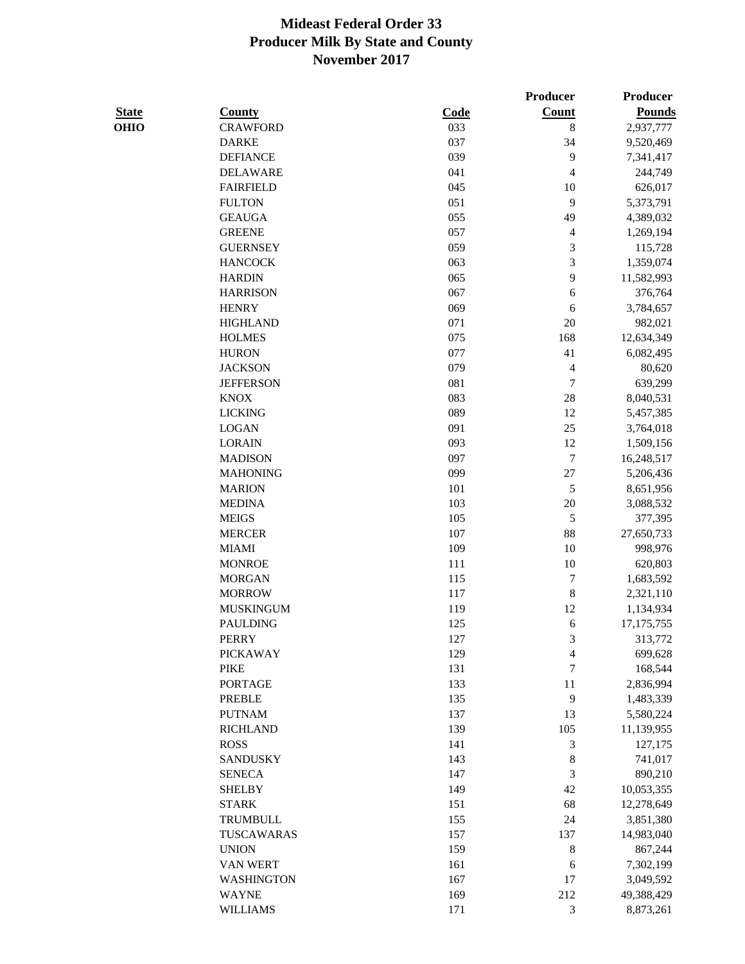|              |                   |             | Producer                 | Producer      |
|--------------|-------------------|-------------|--------------------------|---------------|
| <b>State</b> | <b>County</b>     | <b>Code</b> | <b>Count</b>             | <b>Pounds</b> |
| <b>OHIO</b>  | <b>CRAWFORD</b>   | 033         | $\,8\,$                  | 2,937,777     |
|              | <b>DARKE</b>      | 037         | 34                       | 9,520,469     |
|              | <b>DEFIANCE</b>   | 039         | $\overline{9}$           | 7,341,417     |
|              | <b>DELAWARE</b>   | 041         | $\overline{\mathcal{L}}$ | 244,749       |
|              | <b>FAIRFIELD</b>  | 045         | 10                       | 626,017       |
|              | <b>FULTON</b>     | 051         | 9                        | 5,373,791     |
|              | <b>GEAUGA</b>     | 055         | 49                       | 4,389,032     |
|              | <b>GREENE</b>     | 057         | 4                        | 1,269,194     |
|              | <b>GUERNSEY</b>   | 059         | 3                        | 115,728       |
|              | <b>HANCOCK</b>    | 063         | 3                        | 1,359,074     |
|              | <b>HARDIN</b>     | 065         | 9                        | 11,582,993    |
|              | <b>HARRISON</b>   | 067         | 6                        | 376,764       |
|              | <b>HENRY</b>      | 069         | 6                        | 3,784,657     |
|              | <b>HIGHLAND</b>   | 071         | 20                       | 982,021       |
|              | <b>HOLMES</b>     | 075         | 168                      | 12,634,349    |
|              | <b>HURON</b>      | 077         | 41                       | 6,082,495     |
|              | <b>JACKSON</b>    | 079         | $\overline{4}$           | 80,620        |
|              | <b>JEFFERSON</b>  | 081         | $\tau$                   | 639,299       |
|              | <b>KNOX</b>       | 083         | 28                       |               |
|              | <b>LICKING</b>    | 089         |                          | 8,040,531     |
|              |                   |             | 12                       | 5,457,385     |
|              | <b>LOGAN</b>      | 091         | 25                       | 3,764,018     |
|              | <b>LORAIN</b>     | 093         | 12                       | 1,509,156     |
|              | <b>MADISON</b>    | 097         | $\boldsymbol{7}$         | 16,248,517    |
|              | <b>MAHONING</b>   | 099         | $27\,$                   | 5,206,436     |
|              | <b>MARION</b>     | 101         | $\sqrt{5}$               | 8,651,956     |
|              | <b>MEDINA</b>     | 103         | $20\,$                   | 3,088,532     |
|              | <b>MEIGS</b>      | 105         | $\sqrt{5}$               | 377,395       |
|              | <b>MERCER</b>     | 107         | 88                       | 27,650,733    |
|              | <b>MIAMI</b>      | 109         | 10                       | 998,976       |
|              | <b>MONROE</b>     | 111         | 10                       | 620,803       |
|              | <b>MORGAN</b>     | 115         | $\tau$                   | 1,683,592     |
|              | <b>MORROW</b>     | 117         | 8                        | 2,321,110     |
|              | <b>MUSKINGUM</b>  | 119         | 12                       | 1,134,934     |
|              | <b>PAULDING</b>   | 125         | 6                        | 17,175,755    |
|              | <b>PERRY</b>      | 127         | 3                        | 313,772       |
|              | <b>PICKAWAY</b>   | 129         | 4                        | 699,628       |
|              | <b>PIKE</b>       | 131         | 7                        | 168,544       |
|              | <b>PORTAGE</b>    | 133         | 11                       | 2,836,994     |
|              | <b>PREBLE</b>     | 135         | 9                        | 1,483,339     |
|              | <b>PUTNAM</b>     | 137         | 13                       | 5,580,224     |
|              | <b>RICHLAND</b>   | 139         | 105                      | 11,139,955    |
|              | <b>ROSS</b>       | 141         | 3                        | 127,175       |
|              | <b>SANDUSKY</b>   | 143         | 8                        | 741,017       |
|              | <b>SENECA</b>     | 147         | 3                        | 890,210       |
|              | <b>SHELBY</b>     | 149         | 42                       | 10,053,355    |
|              | <b>STARK</b>      | 151         | 68                       | 12,278,649    |
|              | TRUMBULL          | 155         | 24                       | 3,851,380     |
|              | TUSCAWARAS        | 157         | 137                      | 14,983,040    |
|              | <b>UNION</b>      | 159         | $\,8$                    | 867,244       |
|              | VAN WERT          | 161         | 6                        | 7,302,199     |
|              | <b>WASHINGTON</b> | 167         | 17                       | 3,049,592     |
|              | <b>WAYNE</b>      | 169         | 212                      | 49,388,429    |
|              | <b>WILLIAMS</b>   | 171         | 3                        | 8,873,261     |
|              |                   |             |                          |               |